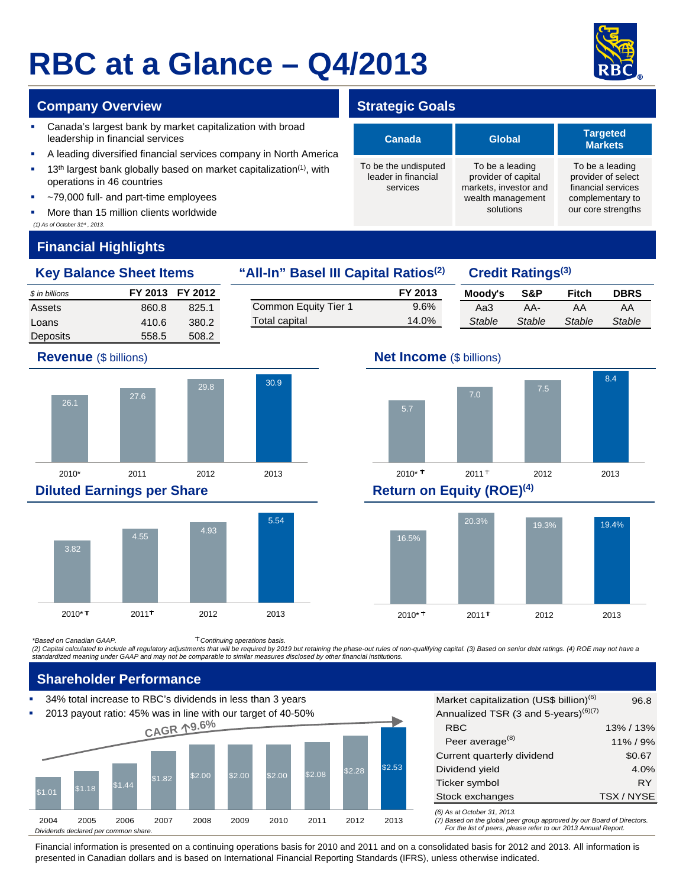# **RBC at a Glance – Q4/2013**



#### **Company Overview <b>Strategic Goals Strategic Goals**

- **Canada's largest bank by market capitalization with broad** leadership in financial services
- A leading diversified financial services company in North America
- 13<sup>th</sup> largest bank globally based on market capitalization<sup>(1)</sup>, with operations in 46 countries
- ~79,000 full- and part-time employees
- More than 15 million clients worldwide

#### *(1) As of October 31st , 2013.*

## **Financial Highlights**

#### **Key Balance Sheet Items "All-In" Basel III Capital Ratios(2) Credit Ratings(3)**

*\$ in billions* **FY 2013 FY 2012** Assets 860.8 825.1 Loans 410.6 380.2 Deposits 558.5 508.2

#### **Moody's S&P Fitch DBRS** Aa3 AA- AA AA *Stable Stable Stable Stable* **FY 2013** Common Equity Tier 1 9.6% Total capital 14.0%





#### **Diluted Earnings per Share Return on Equity (ROE)<sup>(4)</sup>**



## **Revenue** (\$ billions) **Net Income** (\$ billions)





*\*Based on Canadian GAAP. Continuing operations basis.*

*(2) Capital calculated to include all regulatory adjustments that will be required by 2019 but retaining the phase-out rules of non-qualifying capital. (3) Based on senior debt ratings. (4) ROE may not have a standardized meaning under GAAP and may not be comparable to similar measures disclosed by other financial institutions.* 

### **Shareholder Performance**

34% total increase to RBC's dividends in less than 3 years



*(6) As at October 31, 2013.* Market capitalization (US\$ billion)<sup>(6)</sup> 96.8 Annualized TSR (3 and 5-years) $^{(6)(7)}$ RBC Peer average<sup>(8)</sup> \$0.67 4.0% Ticker symbol and the control of the RY Stock exchanges TSX / NYSE 13% / 13% 11% / 9% Current quarterly dividend Dividend yield

*(7) Based on the global peer group approved by our Board of Directors. For the list of peers, please refer to our 2013 Annual Report.* 

Financial information is presented on a continuing operations basis for 2010 and 2011 and on a consolidated basis for 2012 and 2013. All information is presented in Canadian dollars and is based on International Financial Reporting Standards (IFRS), unless otherwise indicated.

| Canada                                                  | <b>Global</b>                                                                                     | <b>Targeted</b><br><b>Markets</b>                                                                     |  |  |
|---------------------------------------------------------|---------------------------------------------------------------------------------------------------|-------------------------------------------------------------------------------------------------------|--|--|
| To be the undisputed<br>leader in financial<br>services | To be a leading<br>provider of capital<br>markets, investor and<br>wealth management<br>solutions | To be a leading<br>provider of select<br>financial services<br>complementary to<br>our core strengths |  |  |